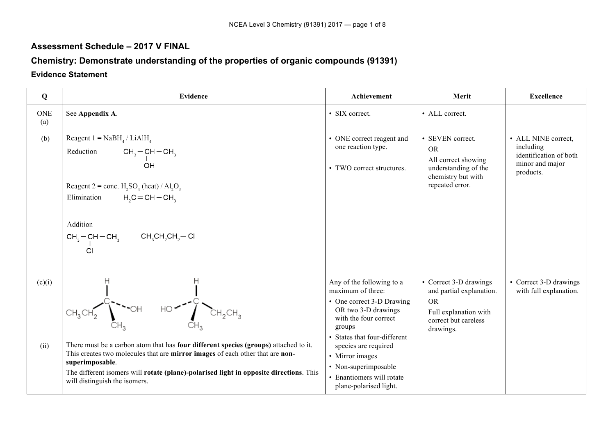### **Assessment Schedule – 2017 V FINAL**

## **Chemistry: Demonstrate understanding of the properties of organic compounds (91391)**

#### **Evidence Statement**

| Q                 | <b>Evidence</b>                                                                                                                                                                                                                                                                                                           | Achievement                                                                                                                                                                                                                                                                                     | Merit                                                                                                                         | <b>Excellence</b>                                                                          |
|-------------------|---------------------------------------------------------------------------------------------------------------------------------------------------------------------------------------------------------------------------------------------------------------------------------------------------------------------------|-------------------------------------------------------------------------------------------------------------------------------------------------------------------------------------------------------------------------------------------------------------------------------------------------|-------------------------------------------------------------------------------------------------------------------------------|--------------------------------------------------------------------------------------------|
| <b>ONE</b><br>(a) | See Appendix A.                                                                                                                                                                                                                                                                                                           | • SIX correct.                                                                                                                                                                                                                                                                                  | • ALL correct.                                                                                                                |                                                                                            |
| (b)               | Reagent $1 = \text{NaBH}_4 / \text{LiAlH}_4$<br>$CH_3-CH-CH_3$<br>Reduction<br>ÓΗ<br>Reagent $2 = \text{conc. H}_2SO_4$ (heat) / Al <sub>2</sub> O <sub>3</sub><br>Elimination<br>$H2C = CH - CH3$<br>Addition<br>$CH_3-CH-CH_3$ $CH_3CH_2CH_2-Cl$                                                                        | • ONE correct reagent and<br>one reaction type.<br>• TWO correct structures.                                                                                                                                                                                                                    | • SEVEN correct.<br><b>OR</b><br>All correct showing<br>understanding of the<br>chemistry but with<br>repeated error.         | • ALL NINE correct,<br>including<br>identification of both<br>minor and major<br>products. |
| (c)(i)<br>(ii)    | CI<br>There must be a carbon atom that has four different species (groups) attached to it.<br>This creates two molecules that are mirror images of each other that are non-<br>superimposable.<br>The different isomers will rotate (plane)-polarised light in opposite directions. This<br>will distinguish the isomers. | Any of the following to a<br>maximum of three:<br>• One correct 3-D Drawing<br>OR two 3-D drawings<br>with the four correct<br>groups<br>• States that four-different<br>species are required<br>• Mirror images<br>• Non-superimposable<br>• Enantiomers will rotate<br>plane-polarised light. | • Correct 3-D drawings<br>and partial explanation.<br><b>OR</b><br>Full explanation with<br>correct but careless<br>drawings. | • Correct 3-D drawings<br>with full explanation.                                           |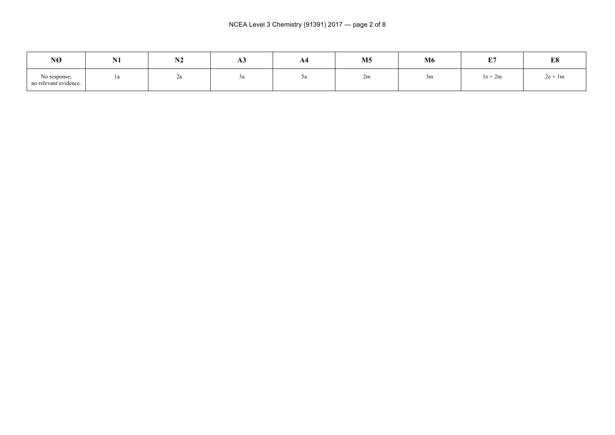| NØ                                    | <b>AT4</b><br>17 T | <b>N<sub>1</sub></b><br>19 A | AJ | A4 | M <sub>5</sub> | <b>M6</b> | <b>DO</b><br>ш. | E8        |
|---------------------------------------|--------------------|------------------------------|----|----|----------------|-----------|-----------------|-----------|
| No response;<br>no relevant evidence. | 1a                 | ∠a                           | ~u | ~u | .<br>zm        | 3m        | $1e + 2m$       | $2e + 1m$ |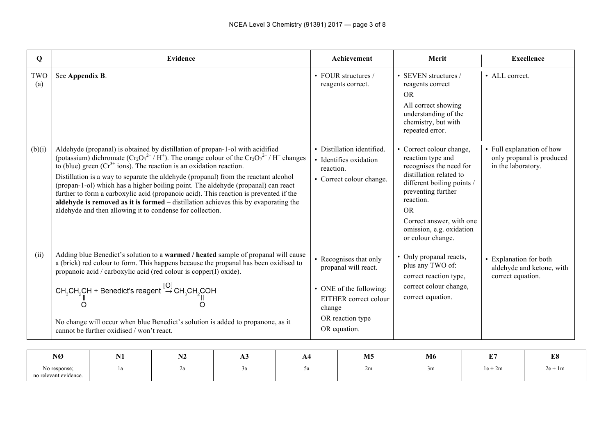| Q          | <b>Evidence</b>                                                                                                                                                                                                                                                                                                                                                                                                                                                                                                                                                                                                                                                                         | Achievement                                                                                                                                      | Merit                                                                                                                                                                                                                                                    | <b>Excellence</b>                                                            |
|------------|-----------------------------------------------------------------------------------------------------------------------------------------------------------------------------------------------------------------------------------------------------------------------------------------------------------------------------------------------------------------------------------------------------------------------------------------------------------------------------------------------------------------------------------------------------------------------------------------------------------------------------------------------------------------------------------------|--------------------------------------------------------------------------------------------------------------------------------------------------|----------------------------------------------------------------------------------------------------------------------------------------------------------------------------------------------------------------------------------------------------------|------------------------------------------------------------------------------|
| TWO<br>(a) | See Appendix B.                                                                                                                                                                                                                                                                                                                                                                                                                                                                                                                                                                                                                                                                         | • FOUR structures $/$<br>reagents correct.                                                                                                       | • SEVEN structures $/$<br>reagents correct<br>OR.<br>All correct showing<br>understanding of the<br>chemistry, but with<br>repeated error.                                                                                                               | $\bullet$ ALL correct.                                                       |
| (b)(i)     | Aldehyde (propanal) is obtained by distillation of propan-1-ol with acidified<br>(potassium) dichromate $(Cr_2O_7^{2-}/H^+)$ . The orange colour of the $Cr_2O_7^{2-}/H^+$ changes<br>to (blue) green $(Cr^{3+}$ ions). The reaction is an oxidation reaction.<br>Distillation is a way to separate the aldehyde (propanal) from the reactant alcohol<br>(propan-1-ol) which has a higher boiling point. The aldehyde (propanal) can react<br>further to form a carboxylic acid (propanoic acid). This reaction is prevented if the<br>aldehyde is removed as it is formed – distillation achieves this by evaporating the<br>aldehyde and then allowing it to condense for collection. | • Distillation identified.<br>• Identifies oxidation<br>reaction.<br>• Correct colour change.                                                    | • Correct colour change,<br>reaction type and<br>recognises the need for<br>distillation related to<br>different boiling points /<br>preventing further<br>reaction.<br>OR.<br>Correct answer, with one<br>omission, e.g. oxidation<br>or colour change. | • Full explanation of how<br>only propanal is produced<br>in the laboratory. |
| (ii)       | Adding blue Benedict's solution to a warmed / heated sample of propanal will cause<br>a (brick) red colour to form. This happens because the propanal has been oxidised to<br>propanoic acid / carboxylic acid (red colour is copper(I) oxide).<br>CH <sub>3</sub> CH <sub>2</sub> CH + Benedict's reagent $\stackrel{[O]}{\rightarrow}$ CH <sub>3</sub> CH <sub>2</sub> COH<br>No change will occur when blue Benedict's solution is added to propanone, as it<br>cannot be further oxidised / won't react.                                                                                                                                                                            | • Recognises that only<br>propanal will react.<br>• ONE of the following:<br>EITHER correct colour<br>change<br>OR reaction type<br>OR equation. | • Only propanal reacts,<br>plus any TWO of:<br>correct reaction type,<br>correct colour change,<br>correct equation.                                                                                                                                     | • Explanation for both<br>aldehyde and ketone, with<br>correct equation.     |

| NØ                                                   | T   | <b>BIR</b><br>NZ | A۹  | M <sub>5</sub> | M6 | $T_{\rm eff}$<br>., | <b>DO</b><br>LО. |
|------------------------------------------------------|-----|------------------|-----|----------------|----|---------------------|------------------|
| No response;<br>$\sim$<br>elevant evidence.<br>no re | . . |                  | J a | ,,,,<br>211    | 3m | $1e + 2m$           | $2e + 1m$        |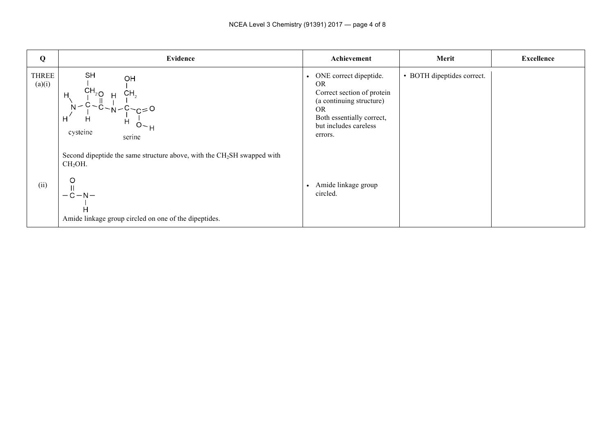| Q                      | Evidence                                                                                                                                                                      | Achievement                                                                                                                                                             | Merit                      | <b>Excellence</b> |
|------------------------|-------------------------------------------------------------------------------------------------------------------------------------------------------------------------------|-------------------------------------------------------------------------------------------------------------------------------------------------------------------------|----------------------------|-------------------|
| <b>THREE</b><br>(a)(i) | SH<br>OН<br>$CH_{2O}$<br>CH <sub>2</sub><br>H<br>$N - Y > C = 0$<br>н<br>Н<br>$O - H$<br>cysteine<br>serine                                                                   | • ONE correct dipeptide.<br><b>OR</b><br>Correct section of protein<br>(a continuing structure)<br>OR.<br>Both essentially correct,<br>but includes careless<br>errors. | • BOTH dipeptides correct. |                   |
| (ii)                   | Second dipeptide the same structure above, with the $CH2SH$ swapped with<br>CH <sub>2</sub> OH.<br>O<br>$-C-N-$<br>H<br>Amide linkage group circled on one of the dipeptides. | Amide linkage group<br>$\bullet$<br>circled.                                                                                                                            |                            |                   |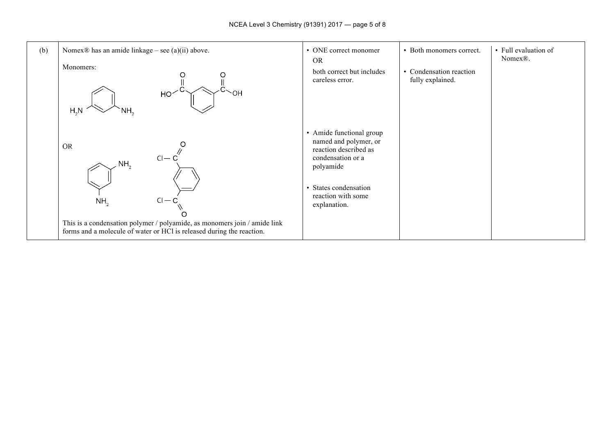| (b) | Nomex $\mathbb D$ has an amide linkage – see (a)(ii) above.<br>Monomers:<br>$\sim$ OH<br>HO <sup>2</sup><br>H <sub>2</sub> N<br>NH,                                                                                           | • ONE correct monomer<br><b>OR</b><br>both correct but includes<br>careless error.                                                                                          | • Both monomers correct.<br>• Condensation reaction<br>fully explained. | • Full evaluation of<br>Nomex <sup>®</sup> . |
|-----|-------------------------------------------------------------------------------------------------------------------------------------------------------------------------------------------------------------------------------|-----------------------------------------------------------------------------------------------------------------------------------------------------------------------------|-------------------------------------------------------------------------|----------------------------------------------|
|     | <b>OR</b><br>$Cl - C$<br>NH <sub>2</sub><br>$Cl - C$<br>NH <sub>2</sub><br>This is a condensation polymer / polyamide, as monomers join / amide link<br>forms and a molecule of water or HCl is released during the reaction. | • Amide functional group<br>named and polymer, or<br>reaction described as<br>condensation or a<br>polyamide<br>• States condensation<br>reaction with some<br>explanation. |                                                                         |                                              |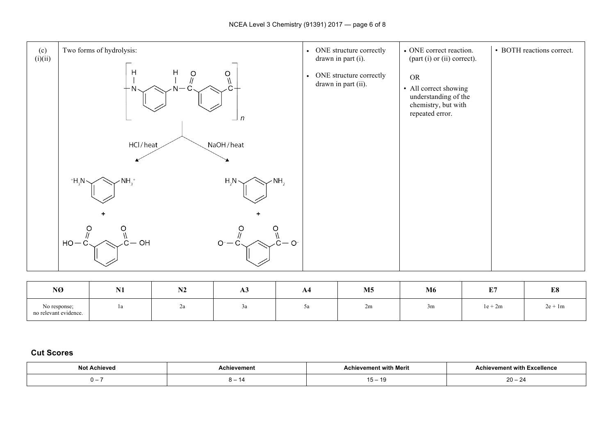

| NØ                                    | <b>NI1</b><br>$\blacksquare$ | <b>BIA</b><br>NZ. | ДJ  | ${\bf A4}$     | $\mathbf{M5}$ | M <sub>6</sub> | E7        | E8        |
|---------------------------------------|------------------------------|-------------------|-----|----------------|---------------|----------------|-----------|-----------|
| No response;<br>no relevant evidence. | la                           | Σa                | – u | <sub>2</sub> a | 2m            | 3m             | $1e + 2m$ | $2e + 1m$ |

#### **Cut Scores**

| Not<br>Achieved | :hievement | `Meri | າ Excellence<br>ılevement witi<br>ACNIO<br>. |
|-----------------|------------|-------|----------------------------------------------|
| . –             |            | . J – | ററ<br>– 20 –<br>-4                           |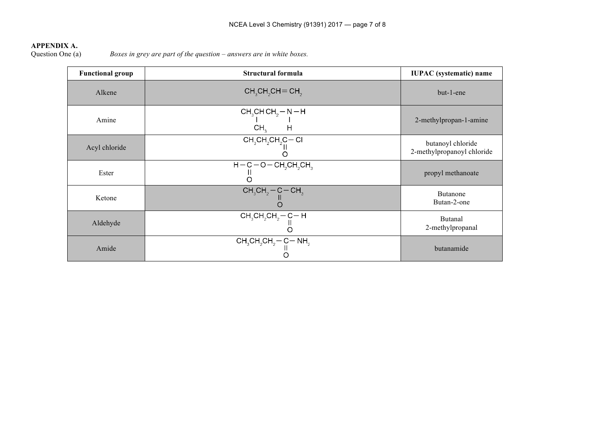# **APPENDIX A.**<br>Question One (a)

Boxes in grey are part of the question – answers are in white boxes.

| <b>Functional group</b> | Structural formula                                                                                                    | <b>IUPAC</b> (systematic) name                  |
|-------------------------|-----------------------------------------------------------------------------------------------------------------------|-------------------------------------------------|
| Alkene                  | $CH3CH2CH=CH3$                                                                                                        | but-1-ene                                       |
| Amine                   | CH <sub>3</sub> CHCH <sub>2</sub> - N - H<br>$\begin{array}{cc}   &   \\ \text{CH}_3 & \text{H} \end{array}$          | 2-methylpropan-1-amine                          |
| Acyl chloride           | $\frac{\text{CH}_{3}\text{CH}_{2}\text{CH}_{2}\text{C}-\text{Cl}}{\text{O}}$                                          | butanoyl chloride<br>2-methylpropanoyl chloride |
| Ester                   | $H-C-O-CH2CH2CH3$                                                                                                     | propyl methanoate                               |
| Ketone                  | $\begin{array}{c}\n\mathsf{CH}_{3}\mathsf{CH}_{2}\mathsf{-C}\mathsf{-CH}_{3} \\ \parallel \\ \mathsf{O}\n\end{array}$ | <b>Butanone</b><br>Butan-2-one                  |
| Aldehyde                | $\frac{\overline{CH_3CH_2CH_2}-C-H}{\overline{CH_3CH_2}}$                                                             | <b>Butanal</b><br>2-methylpropanal              |
| Amide                   | $CH_3CH_2CH_2-C-NH_2$                                                                                                 | butanamide                                      |